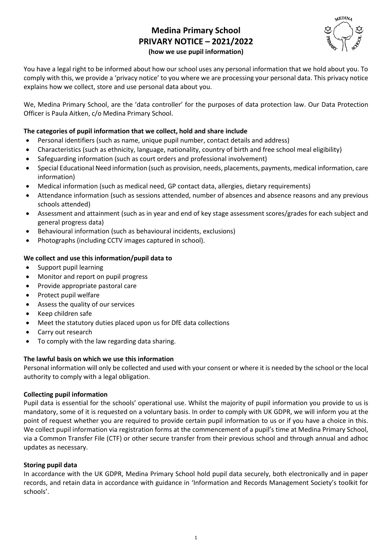# **Medina Primary School PRIVARY NOTICE – 2021/2022 (how we use pupil information)**



You have a legal right to be informed about how our school uses any personal information that we hold about you. To comply with this, we provide a 'privacy notice' to you where we are processing your personal data. This privacy notice explains how we collect, store and use personal data about you.

We, Medina Primary School, are the 'data controller' for the purposes of data protection law. Our Data Protection Officer is Paula Aitken, c/o Medina Primary School.

# **The categories of pupil information that we collect, hold and share include**

- Personal identifiers (such as name, unique pupil number, contact details and address)
- Characteristics (such as ethnicity, language, nationality, country of birth and free school meal eligibility)
- Safeguarding information (such as court orders and professional involvement)
- Special Educational Need information (such as provision, needs, placements, payments, medical information, care information)
- Medical information (such as medical need, GP contact data, allergies, dietary requirements)
- Attendance information (such as sessions attended, number of absences and absence reasons and any previous schools attended)
- Assessment and attainment (such as in year and end of key stage assessment scores/grades for each subject and general progress data)
- Behavioural information (such as behavioural incidents, exclusions)
- Photographs (including CCTV images captured in school).

## **We collect and use this information/pupil data to**

- Support pupil learning
- Monitor and report on pupil progress
- Provide appropriate pastoral care
- Protect pupil welfare
- Assess the quality of our services
- Keep children safe
- Meet the statutory duties placed upon us for DfE data collections
- Carry out research
- To comply with the law regarding data sharing.

## **The lawful basis on which we use this information**

Personal information will only be collected and used with your consent or where it is needed by the school or the local authority to comply with a legal obligation.

## **Collecting pupil information**

Pupil data is essential for the schools' operational use. Whilst the majority of pupil information you provide to us is mandatory, some of it is requested on a voluntary basis. In order to comply with UK GDPR, we will inform you at the point of request whether you are required to provide certain pupil information to us or if you have a choice in this. We collect pupil information via registration forms at the commencement of a pupil's time at Medina Primary School, via a Common Transfer File (CTF) or other secure transfer from their previous school and through annual and adhoc updates as necessary.

## **Storing pupil data**

In accordance with the UK GDPR, Medina Primary School hold pupil data securely, both electronically and in paper records, and retain data in accordance with guidance in 'Information and Records Management Society's toolkit for schools'.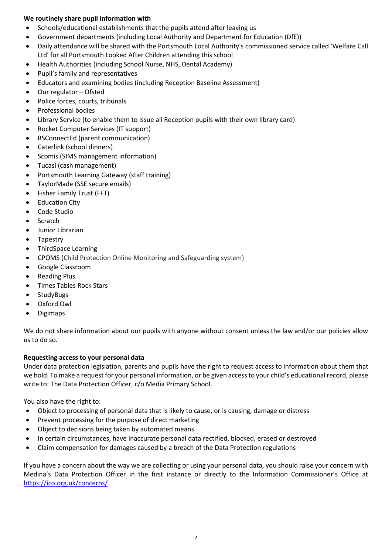## **We routinely share pupil information with**

- Schools/educational establishments that the pupils attend after leaving us
- Government departments (including Local Authority and Department for Education (DfE))
- Daily attendance will be shared with the Portsmouth Local Authority's commissioned service called 'Welfare Call Ltd' for all Portsmouth Looked After Children attending this school
- Health Authorities (including School Nurse, NHS, Dental Academy)
- Pupil's family and representatives
- Educators and examining bodies (including Reception Baseline Assessment)
- Our regulator Ofsted
- Police forces, courts, tribunals
- Professional bodies
- Library Service (to enable them to issue all Reception pupils with their own library card)
- Rocket Computer Services (IT support)
- RSConnectEd (parent communication)
- Caterlink (school dinners)
- Scomis (SIMS management information)
- Tucasi (cash management)
- Portsmouth Learning Gateway (staff training)
- TaylorMade (SSE secure emails)
- Fisher Family Trust (FFT)
- **•** Education City
- Code Studio
- Scratch
- Junior Librarian
- Tapestry
- ThirdSpace Learning
- CPOMS (Child Protection Online Monitoring and Safeguarding system)
- Google Classroom
- Reading Plus
- Times Tables Rock Stars
- StudyBugs
- Oxford Owl
- Digimaps

We do not share information about our pupils with anyone without consent unless the law and/or our policies allow us to do so.

#### **Requesting access to your personal data**

Under data protection legislation, parents and pupils have the right to request access to information about them that we hold. To make a request for your personal information, or be given access to your child's educational record, please write to: The Data Protection Officer, c/o Media Primary School.

You also have the right to:

- Object to processing of personal data that is likely to cause, or is causing, damage or distress
- Prevent processing for the purpose of direct marketing
- Object to decisions being taken by automated means
- In certain circumstances, have inaccurate personal data rectified, blocked, erased or destroyed
- Claim compensation for damages caused by a breach of the Data Protection regulations

If you have a concern about the way we are collecting or using your personal data, you should raise your concern with Medina's Data Protection Officer in the first instance or directly to the Information Commissioner's Office at <https://ico.org.uk/concerns/>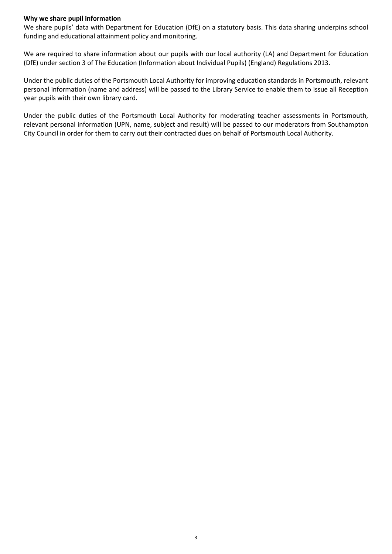#### **Why we share pupil information**

We share pupils' data with Department for Education (DfE) on a statutory basis. This data sharing underpins school funding and educational attainment policy and monitoring.

We are required to share information about our pupils with our local authority (LA) and Department for Education (DfE) under section 3 of The Education (Information about Individual Pupils) (England) Regulations 2013.

Under the public duties of the Portsmouth Local Authority for improving education standards in Portsmouth, relevant personal information (name and address) will be passed to the Library Service to enable them to issue all Reception year pupils with their own library card.

Under the public duties of the Portsmouth Local Authority for moderating teacher assessments in Portsmouth, relevant personal information (UPN, name, subject and result) will be passed to our moderators from Southampton City Council in order for them to carry out their contracted dues on behalf of Portsmouth Local Authority.